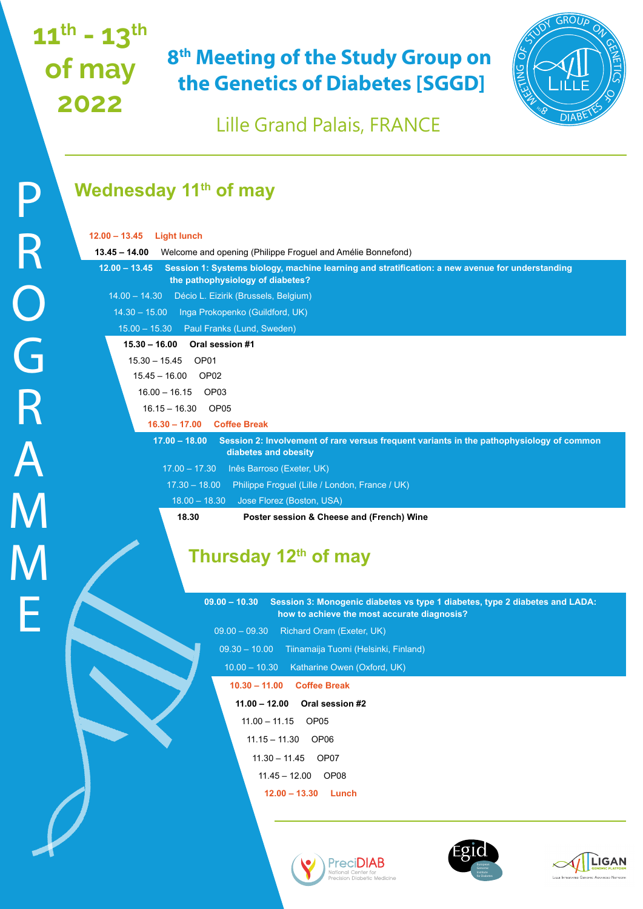# **11th - 13th of may 2022**

## **8th Meeting of the Study Group on the Genetics of Diabetes [SGGD]**



Lille Grand Palais, FRANCE

### **Wednesday 11<sup>th</sup> of may**

| $12.00 - 13.45$<br><b>Light lunch</b>                                                                                                                  |
|--------------------------------------------------------------------------------------------------------------------------------------------------------|
| $13.45 - 14.00$<br>Welcome and opening (Philippe Froguel and Amélie Bonnefond)                                                                         |
| Session 1: Systems biology, machine learning and stratification: a new avenue for understanding<br>$12.00 - 13.45$<br>the pathophysiology of diabetes? |
| $14.00 - 14.30$<br>Décio L. Eizirik (Brussels, Belgium)                                                                                                |
| 14.30 - 15.00 Inga Prokopenko (Guildford, UK)                                                                                                          |
| Paul Franks (Lund, Sweden)<br>$15.00 - 15.30$                                                                                                          |
| Oral session #1<br>$15.30 - 16.00$                                                                                                                     |
| $15.30 - 15.45$ OP01                                                                                                                                   |
| $15.45 - 16.00$ OP02                                                                                                                                   |
| OP <sub>03</sub><br>$16.00 - 16.15$                                                                                                                    |
| OP05<br>$16.15 - 16.30$                                                                                                                                |
| 16.30 - 17.00 Coffee Break                                                                                                                             |
| $17.00 - 18.00$<br>Session 2: Involvement of rare versus frequent variants in the pathophysiology of common<br>diabetes and obesity                    |
| $17.00 - 17.30$<br>Inês Barroso (Exeter, UK)                                                                                                           |
| $17.30 - 18.00$<br>Philippe Froguel (Lille / London, France / UK)                                                                                      |
| $18.00 - 18.30$<br>Jose Florez (Boston, USA)                                                                                                           |
| 18.30<br>Poster session & Cheese and (French) Wine                                                                                                     |
| Thursday 12 <sup>th</sup> of may                                                                                                                       |
| Session 3: Monogenic diabetes vs type 1 diabetes, type 2 diabetes and LADA:<br>$09.00 - 10.30$<br>how to achieve the most accurate diagnosis?          |
| $09.00 - 09.30$<br>Richard Oram (Exeter, UK)                                                                                                           |
| $09.30 - 10.00$                                                                                                                                        |
| Tiinamaija Tuomi (Helsinki, Finland)                                                                                                                   |
| $10.00 - 10.30$<br>Katharine Owen (Oxford, UK)<br>$10.30 - 11.00$<br><b>Coffee Break</b>                                                               |
| $11.00 - 12.00$<br>Oral session #2                                                                                                                     |
|                                                                                                                                                        |
| $11.00 - 11.15$<br>OP <sub>05</sub>                                                                                                                    |
| $11.15 - 11.30$<br>OP <sub>06</sub>                                                                                                                    |
| $11.30 - 11.45$<br>OP07                                                                                                                                |
| $11.45 - 12.00$ OP08                                                                                                                                   |
| $12.00 - 13.30$ Lunch                                                                                                                                  |
|                                                                                                                                                        |

**PreciDIAB** 

for Diabetes

LIGAN